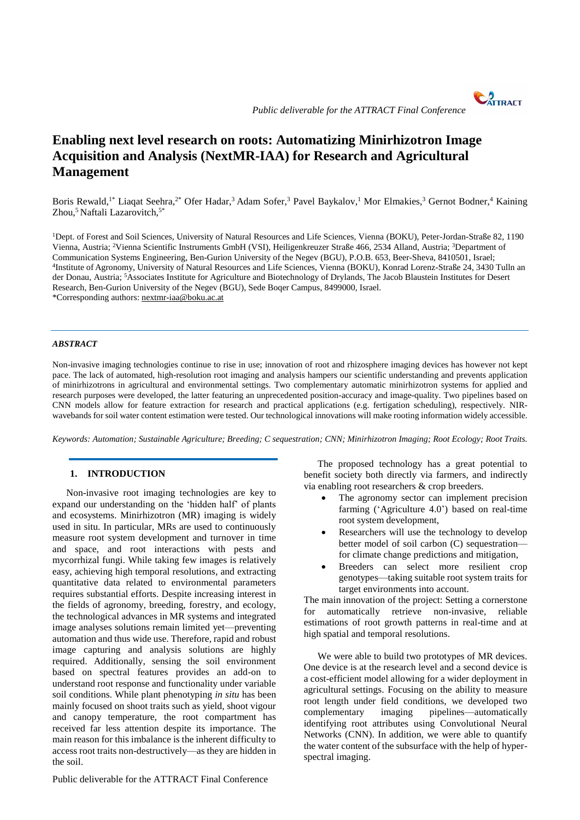# **Enabling next level research on roots: Automatizing Minirhizotron Image Acquisition and Analysis (NextMR-IAA) for Research and Agricultural Management**

Boris Rewald,<sup>1\*</sup> Liaqat Seehra,<sup>2\*</sup> Ofer Hadar,<sup>3</sup> Adam Sofer,<sup>3</sup> Pavel Baykalov,<sup>1</sup> Mor Elmakies,<sup>3</sup> Gernot Bodner,<sup>4</sup> Kaining Zhou,<sup>5</sup> Naftali Lazarovitch,<sup>5\*</sup>

<sup>1</sup>Dept. of Forest and Soil Sciences, University of Natural Resources and Life Sciences, Vienna (BOKU), Peter-Jordan-Straße 82, 1190 Vienna, Austria; <sup>2</sup>Vienna Scientific Instruments GmbH (VSI), Heiligenkreuzer Straße 466, 2534 Alland, Austria; <sup>3</sup>Department of Communication Systems Engineering, Ben-Gurion University of the Negev (BGU), P.O.B. 653, Beer-Sheva, 8410501, Israel; 4 Institute of Agronomy, University of Natural Resources and Life Sciences, Vienna (BOKU), Konrad Lorenz-Straße 24, 3430 Tulln an der Donau, Austria; <sup>5</sup>Associates Institute for Agriculture and Biotechnology of Drylands, The Jacob Blaustein Institutes for Desert Research, Ben-Gurion University of the Negev (BGU), Sede Boqer Campus, 8499000, Israel. \*Corresponding authors[: nextmr-iaa@boku.ac.at](mailto:nextmr-iaa@boku.ac.at)

## *ABSTRACT*

Non-invasive imaging technologies continue to rise in use; innovation of root and rhizosphere imaging devices has however not kept pace. The lack of automated, high-resolution root imaging and analysis hampers our scientific understanding and prevents application of minirhizotrons in agricultural and environmental settings. Two complementary automatic minirhizotron systems for applied and research purposes were developed, the latter featuring an unprecedented position-accuracy and image-quality. Two pipelines based on CNN models allow for feature extraction for research and practical applications (e.g. fertigation scheduling), respectively. NIRwavebands for soil water content estimation were tested. Our technological innovations will make rooting information widely accessible.

*Keywords: Automation; Sustainable Agriculture; Breeding; C sequestration; CNN; Minirhizotron Imaging; Root Ecology; Root Traits.*

# **1. INTRODUCTION**

Non-invasive root imaging technologies are key to expand our understanding on the 'hidden half' of plants and ecosystems. Minirhizotron (MR) imaging is widely used in situ. In particular, MRs are used to continuously measure root system development and turnover in time and space, and root interactions with pests and mycorrhizal fungi. While taking few images is relatively easy, achieving high temporal resolutions, and extracting quantitative data related to environmental parameters requires substantial efforts. Despite increasing interest in the fields of agronomy, breeding, forestry, and ecology, the technological advances in MR systems and integrated image analyses solutions remain limited yet—preventing automation and thus wide use. Therefore, rapid and robust image capturing and analysis solutions are highly required. Additionally, sensing the soil environment based on spectral features provides an add-on to understand root response and functionality under variable soil conditions. While plant phenotyping *in situ* has been mainly focused on shoot traits such as yield, shoot vigour and canopy temperature, the root compartment has received far less attention despite its importance. The main reason for this imbalance is the inherent difficulty to access root traits non-destructively—as they are hidden in the soil.

Public deliverable for the ATTRACT Final Conference

The proposed technology has a great potential to benefit society both directly via farmers, and indirectly via enabling root researchers & crop breeders.

- The agronomy sector can implement precision farming ('Agriculture 4.0') based on real-time root system development,
- Researchers will use the technology to develop better model of soil carbon (C) sequestration for climate change predictions and mitigation,
- Breeders can select more resilient crop genotypes—taking suitable root system traits for target environments into account.

The main innovation of the project: Setting a cornerstone for automatically retrieve non-invasive, reliable estimations of root growth patterns in real-time and at high spatial and temporal resolutions.

We were able to build two prototypes of MR devices. One device is at the research level and a second device is a cost-efficient model allowing for a wider deployment in agricultural settings. Focusing on the ability to measure root length under field conditions, we developed two complementary imaging pipelines—automatically identifying root attributes using Convolutional Neural Networks (CNN). In addition, we were able to quantify the water content of the subsurface with the help of hyperspectral imaging.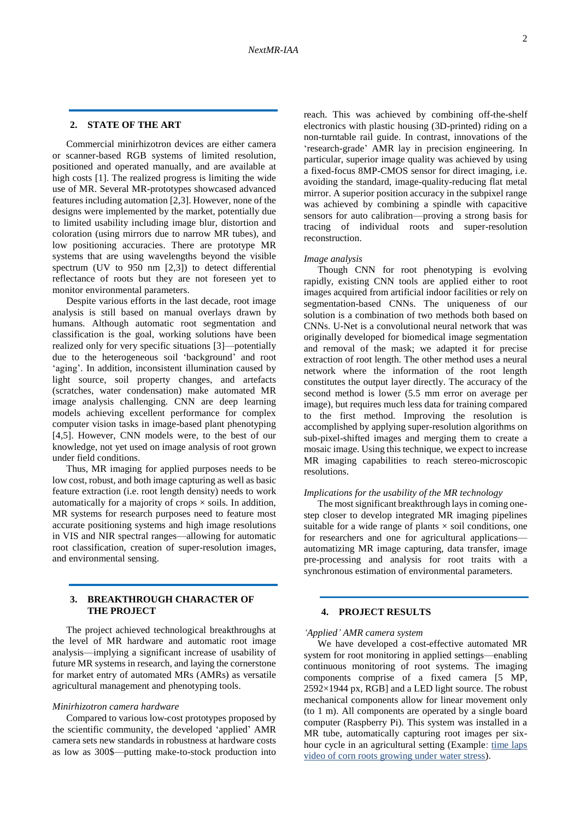#### **2. STATE OF THE ART**

Commercial minirhizotron devices are either camera or scanner-based RGB systems of limited resolution, positioned and operated manually, and are available at high costs [1]. The realized progress is limiting the wide use of MR. Several MR-prototypes showcased advanced features including automation [2,3]. However, none of the designs were implemented by the market, potentially due to limited usability including image blur, distortion and coloration (using mirrors due to narrow MR tubes), and low positioning accuracies. There are prototype MR systems that are using wavelengths beyond the visible spectrum (UV to 950 nm [2,3]) to detect differential reflectance of roots but they are not foreseen yet to monitor environmental parameters.

Despite various efforts in the last decade, root image analysis is still based on manual overlays drawn by humans. Although automatic root segmentation and classification is the goal, working solutions have been realized only for very specific situations [3]—potentially due to the heterogeneous soil 'background' and root 'aging'. In addition, inconsistent illumination caused by light source, soil property changes, and artefacts (scratches, water condensation) make automated MR image analysis challenging. CNN are deep learning models achieving excellent performance for complex computer vision tasks in image-based plant phenotyping [4,5]. However, CNN models were, to the best of our knowledge, not yet used on image analysis of root grown under field conditions.

Thus, MR imaging for applied purposes needs to be low cost, robust, and both image capturing as well as basic feature extraction (i.e. root length density) needs to work automatically for a majority of crops  $\times$  soils. In addition, MR systems for research purposes need to feature most accurate positioning systems and high image resolutions in VIS and NIR spectral ranges—allowing for automatic root classification, creation of super-resolution images, and environmental sensing.

## **3. BREAKTHROUGH CHARACTER OF THE PROJECT**

The project achieved technological breakthroughs at the level of MR hardware and automatic root image analysis—implying a significant increase of usability of future MR systems in research, and laying the cornerstone for market entry of automated MRs (AMRs) as versatile agricultural management and phenotyping tools.

#### *Minirhizotron camera hardware*

Compared to various low-cost prototypes proposed by the scientific community, the developed 'applied' AMR camera sets new standards in robustness at hardware costs as low as 300\$—putting make-to-stock production into reach. This was achieved by combining off-the-shelf electronics with plastic housing (3D-printed) riding on a non-turntable rail guide. In contrast, innovations of the 'research-grade' AMR lay in precision engineering. In particular, superior image quality was achieved by using a fixed-focus 8MP-CMOS sensor for direct imaging, i.e. avoiding the standard, image-quality-reducing flat metal mirror. A superior position accuracy in the subpixel range was achieved by combining a spindle with capacitive sensors for auto calibration—proving a strong basis for tracing of individual roots and super-resolution reconstruction.

#### *Image analysis*

Though CNN for root phenotyping is evolving rapidly, existing CNN tools are applied either to root images acquired from artificial indoor facilities or rely on segmentation-based CNNs. The uniqueness of our solution is a combination of two methods both based on CNNs. U-Net is a convolutional neural network that was originally developed for biomedical image segmentation and removal of the mask; we adapted it for precise extraction of root length. The other method uses a neural network where the information of the root length constitutes the output layer directly. The accuracy of the second method is lower (5.5 mm error on average per image), but requires much less data for training compared to the first method. Improving the resolution is accomplished by applying super-resolution algorithms on sub-pixel-shifted images and merging them to create a mosaic image. Using this technique, we expect to increase MR imaging capabilities to reach stereo-microscopic resolutions.

## *Implications for the usability of the MR technology*

The most significant breakthrough lays in coming onestep closer to develop integrated MR imaging pipelines suitable for a wide range of plants  $\times$  soil conditions, one for researchers and one for agricultural applications automatizing MR image capturing, data transfer, image pre-processing and analysis for root traits with a synchronous estimation of environmental parameters.

# **4. PROJECT RESULTS**

#### *'Applied' AMR camera system*

We have developed a cost-effective automated MR system for root monitoring in applied settings—enabling continuous monitoring of root systems. The imaging components comprise of a fixed camera [5 MP, 2592×1944 px, RGB] and a LED light source. The robust mechanical components allow for linear movement only (to 1 m). All components are operated by a single board computer (Raspberry Pi). This system was installed in a MR tube, automatically capturing root images per sixhour cycle in an agricultural setting (Example: [time laps](https://www.dropbox.com/s/fu97fjvlotn4z04/corn%20root.mp4?dl=0)  [video of corn roots growing under water stress\)](https://www.dropbox.com/s/fu97fjvlotn4z04/corn%20root.mp4?dl=0).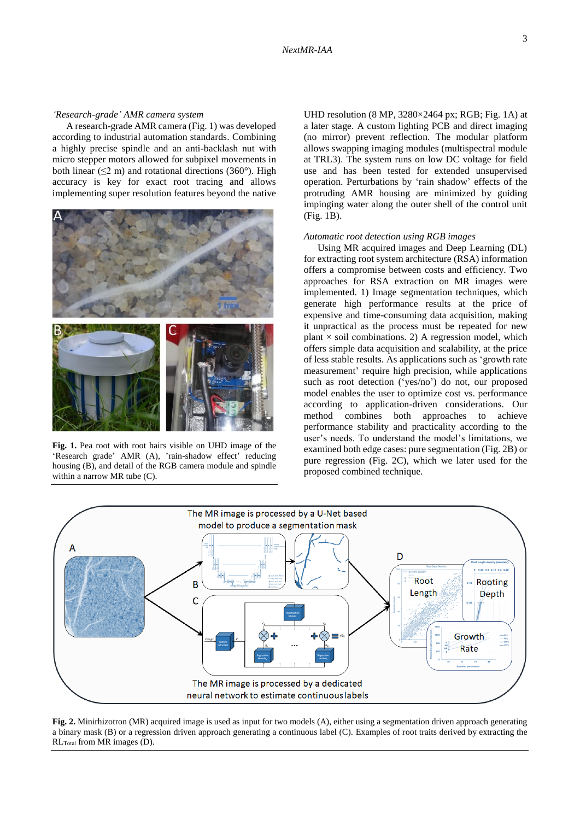#### *'Research-grade' AMR camera system*

A research-grade AMR camera (Fig. 1) was developed according to industrial automation standards. Combining a highly precise spindle and an anti-backlash nut with micro stepper motors allowed for subpixel movements in both linear ( $\leq$ 2 m) and rotational directions (360°). High accuracy is key for exact root tracing and allows implementing super resolution features beyond the native



**Fig. 1.** Pea root with root hairs visible on UHD image of the 'Research grade' AMR (A), 'rain-shadow effect' reducing housing (B), and detail of the RGB camera module and spindle within a narrow MR tube (C).

UHD resolution (8 MP, 3280×2464 px; RGB; Fig. 1A) at a later stage. A custom lighting PCB and direct imaging (no mirror) prevent reflection. The modular platform allows swapping imaging modules (multispectral module at TRL3). The system runs on low DC voltage for field use and has been tested for extended unsupervised operation. Perturbations by 'rain shadow' effects of the protruding AMR housing are minimized by guiding impinging water along the outer shell of the control unit (Fig. 1B).

#### *Automatic root detection using RGB images*

Using MR acquired images and Deep Learning (DL) for extracting root system architecture (RSA) information offers a compromise between costs and efficiency. Two approaches for RSA extraction on MR images were implemented. 1) Image segmentation techniques, which generate high performance results at the price of expensive and time-consuming data acquisition, making it unpractical as the process must be repeated for new plant  $\times$  soil combinations. 2) A regression model, which offers simple data acquisition and scalability, at the price of less stable results. As applications such as 'growth rate measurement' require high precision, while applications such as root detection ('yes/no') do not, our proposed model enables the user to optimize cost vs. performance according to application-driven considerations. Our method combines both approaches to achieve performance stability and practicality according to the user's needs. To understand the model's limitations, we examined both edge cases: pure segmentation (Fig. 2B) or pure regression (Fig. 2C), which we later used for the proposed combined technique.



**Fig. 2.** Minirhizotron (MR) acquired image is used as input for two models (A), either using a segmentation driven approach generating a binary mask (B) or a regression driven approach generating a continuous label (C). Examples of root traits derived by extracting the RLTotal from MR images (D).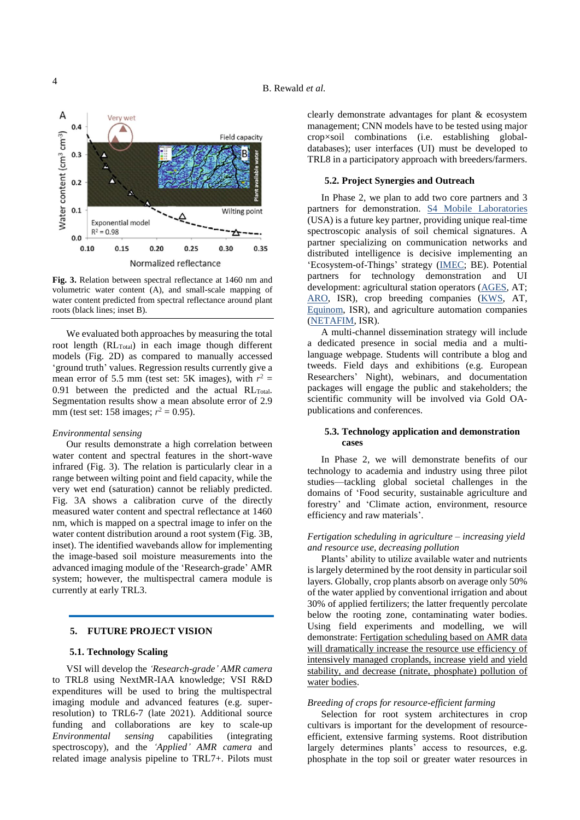

**Fig. 3.** Relation between spectral reflectance at 1460 nm and volumetric water content (A), and small-scale mapping of water content predicted from spectral reflectance around plant roots (black lines; inset B).

We evaluated both approaches by measuring the total root length  $(RL_{Total})$  in each image though different models (Fig. 2D) as compared to manually accessed 'ground truth' values. Regression results currently give a mean error of 5.5 mm (test set: 5K images), with  $r^2$  =  $0.91$  between the predicted and the actual RL $_{\text{Total}}$ . Segmentation results show a mean absolute error of 2.9 mm (test set: 158 images;  $r^2 = 0.95$ ).

## *Environmental sensing*

Our results demonstrate a high correlation between water content and spectral features in the short-wave infrared (Fig. 3). The relation is particularly clear in a range between wilting point and field capacity, while the very wet end (saturation) cannot be reliably predicted. Fig. 3A shows a calibration curve of the directly measured water content and spectral reflectance at 1460 nm, which is mapped on a spectral image to infer on the water content distribution around a root system (Fig. 3B, inset). The identified wavebands allow for implementing the image-based soil moisture measurements into the advanced imaging module of the 'Research-grade' AMR system; however, the multispectral camera module is currently at early TRL3.

## **5. FUTURE PROJECT VISION**

## **5.1. Technology Scaling**

VSI will develop the *'Research-grade' AMR camera* to TRL8 using NextMR-IAA knowledge; VSI R&D expenditures will be used to bring the multispectral imaging module and advanced features (e.g. superresolution) to TRL6-7 (late 2021). Additional source funding and collaborations are key to scale-up *Environmental sensing* capabilities (integrating spectroscopy), and the *'Applied' AMR camera* and related image analysis pipeline to TRL7+. Pilots must clearly demonstrate advantages for plant & ecosystem management; CNN models have to be tested using major crop×soil combinations (i.e. establishing globaldatabases); user interfaces (UI) must be developed to TRL8 in a participatory approach with breeders/farmers.

## **5.2. Project Synergies and Outreach**

In Phase 2, we plan to add two core partners and 3 partners for demonstration. [S4 Mobile Laboratories](https://www.s4laboratories.com/) (USA) is a future key partner, providing unique real-time spectroscopic analysis of soil chemical signatures. A partner specializing on communication networks and distributed intelligence is decisive implementing an 'Ecosystem-of-Things' strategy [\(IMEC;](https://www.imec-int.com/en) BE). Potential partners for technology demonstration and UI development: agricultural station operators [\(AGES,](https://www.ages.at/themen/landwirtschaft/) AT; [ARO,](https://www.agri.gov.il/en/home/default.aspx) ISR), crop breeding companies [\(KWS,](https://www.kws.com/at/de/) AT, [Equinom,](https://equi-nom.com/the-seeds/) ISR), and agriculture automation companies [\(NETAFIM,](https://www.netafim.co.il/agriculture/) ISR).

A multi-channel dissemination strategy will include a dedicated presence in social media and a multilanguage webpage. Students will contribute a blog and tweeds. Field days and exhibitions (e.g. European Researchers' Night), webinars, and documentation packages will engage the public and stakeholders; the scientific community will be involved via Gold OApublications and conferences.

## **5.3. Technology application and demonstration cases**

In Phase 2, we will demonstrate benefits of our technology to academia and industry using three pilot studies—tackling global societal challenges in the domains of 'Food security, sustainable agriculture and forestry' and 'Climate action, environment, resource efficiency and raw materials'.

## *Fertigation scheduling in agriculture – increasing yield and resource use, decreasing pollution*

Plants' ability to utilize available water and nutrients is largely determined by the root density in particular soil layers. Globally, crop plants absorb on average only 50% of the water applied by conventional irrigation and about 30% of applied fertilizers; the latter frequently percolate below the rooting zone, contaminating water bodies. Using field experiments and modelling, we will demonstrate: Fertigation scheduling based on AMR data will dramatically increase the resource use efficiency of intensively managed croplands, increase yield and yield stability, and decrease (nitrate, phosphate) pollution of water bodies.

#### *Breeding of crops for resource-efficient farming*

Selection for root system architectures in crop cultivars is important for the development of resourceefficient, extensive farming systems. Root distribution largely determines plants' access to resources, e.g. phosphate in the top soil or greater water resources in